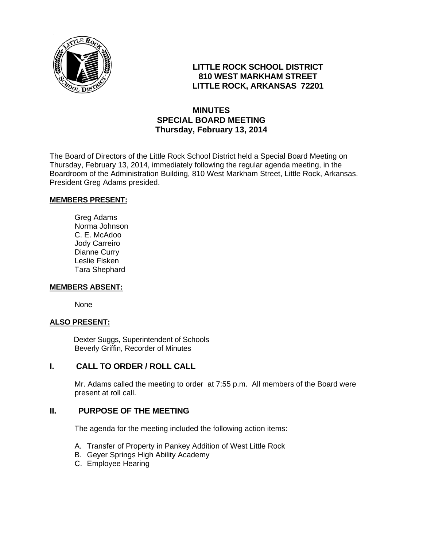

## **LITTLE ROCK SCHOOL DISTRICT 810 WEST MARKHAM STREET LITTLE ROCK, ARKANSAS 72201**

# **MINUTES SPECIAL BOARD MEETING Thursday, February 13, 2014**

The Board of Directors of the Little Rock School District held a Special Board Meeting on Thursday, February 13, 2014, immediately following the regular agenda meeting, in the Boardroom of the Administration Building, 810 West Markham Street, Little Rock, Arkansas. President Greg Adams presided.

#### **MEMBERS PRESENT:**

Greg Adams Norma Johnson C. E. McAdoo Jody Carreiro Dianne Curry Leslie Fisken Tara Shephard

#### **MEMBERS ABSENT:**

None

#### **ALSO PRESENT:**

 Dexter Suggs, Superintendent of Schools Beverly Griffin, Recorder of Minutes

### **I. CALL TO ORDER / ROLL CALL**

Mr. Adams called the meeting to order at 7:55 p.m. All members of the Board were present at roll call.

### **II. PURPOSE OF THE MEETING**

The agenda for the meeting included the following action items:

- A. Transfer of Property in Pankey Addition of West Little Rock
- B. Geyer Springs High Ability Academy
- C. Employee Hearing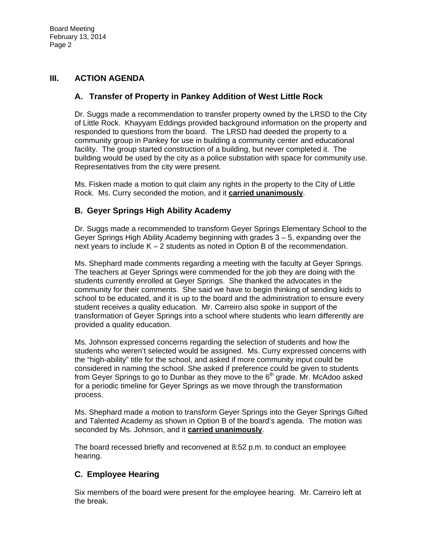### **III. ACTION AGENDA**

## **A. Transfer of Property in Pankey Addition of West Little Rock**

Dr. Suggs made a recommendation to transfer property owned by the LRSD to the City of Little Rock. Khayyam Eddings provided background information on the property and responded to questions from the board. The LRSD had deeded the property to a community group in Pankey for use in building a community center and educational facility. The group started construction of a building, but never completed it. The building would be used by the city as a police substation with space for community use. Representatives from the city were present.

Ms. Fisken made a motion to quit claim any rights in the property to the City of Little Rock. Ms. Curry seconded the motion, and it **carried unanimously**.

# **B. Geyer Springs High Ability Academy**

Dr. Suggs made a recommended to transform Geyer Springs Elementary School to the Geyer Springs High Ability Academy beginning with grades 3 – 5, expanding over the next years to include  $K - 2$  students as noted in Option B of the recommendation.

Ms. Shephard made comments regarding a meeting with the faculty at Geyer Springs. The teachers at Geyer Springs were commended for the job they are doing with the students currently enrolled at Geyer Springs. She thanked the advocates in the community for their comments. She said we have to begin thinking of sending kids to school to be educated, and it is up to the board and the administration to ensure every student receives a quality education. Mr. Carreiro also spoke in support of the transformation of Geyer Springs into a school where students who learn differently are provided a quality education.

Ms. Johnson expressed concerns regarding the selection of students and how the students who weren't selected would be assigned. Ms. Curry expressed concerns with the "high-ability" title for the school, and asked if more community input could be considered in naming the school. She asked if preference could be given to students from Gever Springs to go to Dunbar as they move to the 6<sup>th</sup> grade. Mr. McAdoo asked for a periodic timeline for Geyer Springs as we move through the transformation process.

Ms. Shephard made a motion to transform Geyer Springs into the Geyer Springs Gifted and Talented Academy as shown in Option B of the board's agenda. The motion was seconded by Ms. Johnson, and it **carried unanimously**.

The board recessed briefly and reconvened at 8:52 p.m. to conduct an employee hearing.

# **C. Employee Hearing**

Six members of the board were present for the employee hearing. Mr. Carreiro left at the break.